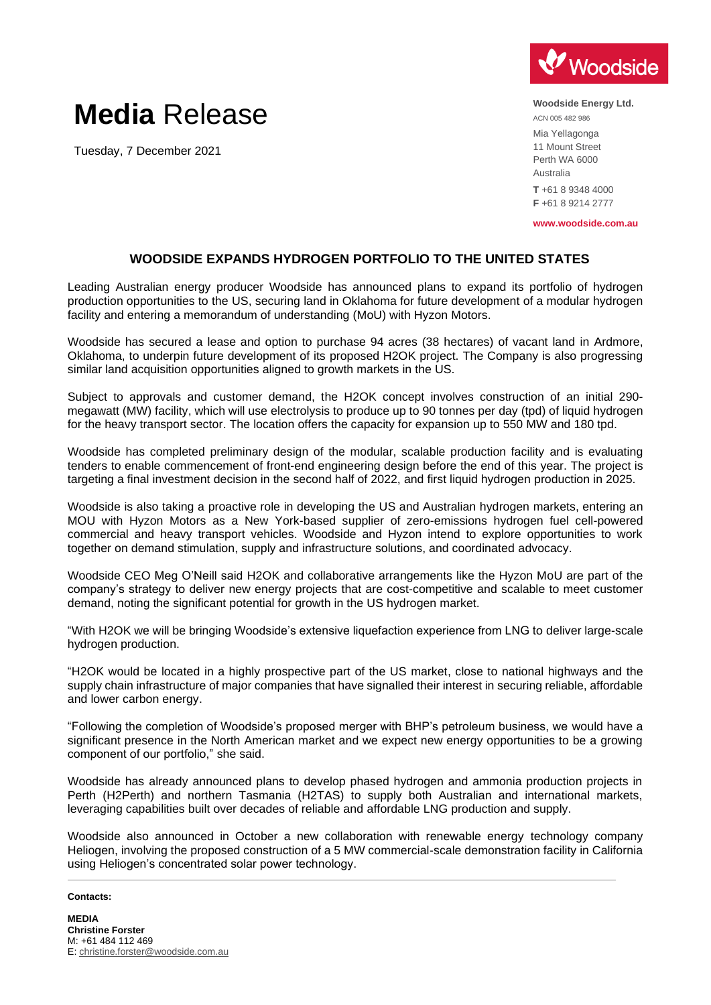

# **Media** Release

Tuesday, 7 December 2021

**Woodside Energy Ltd.** ACN 005 482 986 Mia Yellagonga 11 Mount Street Perth WA 6000 Australia **T** +61 8 9348 4000 **F** +61 8 9214 2777

**www.woodside.com.au**

## **WOODSIDE EXPANDS HYDROGEN PORTFOLIO TO THE UNITED STATES**

Leading Australian energy producer Woodside has announced plans to expand its portfolio of hydrogen production opportunities to the US, securing land in Oklahoma for future development of a modular hydrogen facility and entering a memorandum of understanding (MoU) with Hyzon Motors.

Woodside has secured a lease and option to purchase 94 acres (38 hectares) of vacant land in Ardmore, Oklahoma, to underpin future development of its proposed H2OK project. The Company is also progressing similar land acquisition opportunities aligned to growth markets in the US.

Subject to approvals and customer demand, the H2OK concept involves construction of an initial 290 megawatt (MW) facility, which will use electrolysis to produce up to 90 tonnes per day (tpd) of liquid hydrogen for the heavy transport sector. The location offers the capacity for expansion up to 550 MW and 180 tpd.

Woodside has completed preliminary design of the modular, scalable production facility and is evaluating tenders to enable commencement of front-end engineering design before the end of this year. The project is targeting a final investment decision in the second half of 2022, and first liquid hydrogen production in 2025.

Woodside is also taking a proactive role in developing the US and Australian hydrogen markets, entering an MOU with Hyzon Motors as a New York-based supplier of zero-emissions hydrogen fuel cell-powered commercial and heavy transport vehicles. Woodside and Hyzon intend to explore opportunities to work together on demand stimulation, supply and infrastructure solutions, and coordinated advocacy.

Woodside CEO Meg O'Neill said H2OK and collaborative arrangements like the Hyzon MoU are part of the company's strategy to deliver new energy projects that are cost-competitive and scalable to meet customer demand, noting the significant potential for growth in the US hydrogen market.

"With H2OK we will be bringing Woodside's extensive liquefaction experience from LNG to deliver large-scale hydrogen production.

"H2OK would be located in a highly prospective part of the US market, close to national highways and the supply chain infrastructure of major companies that have signalled their interest in securing reliable, affordable and lower carbon energy.

"Following the completion of Woodside's proposed merger with BHP's petroleum business, we would have a significant presence in the North American market and we expect new energy opportunities to be a growing component of our portfolio," she said.

Woodside has already announced plans to develop phased hydrogen and ammonia production projects in Perth (H2Perth) and northern Tasmania (H2TAS) to supply both Australian and international markets, leveraging capabilities built over decades of reliable and affordable LNG production and supply.

Woodside also announced in October a new collaboration with renewable energy technology company Heliogen, involving the proposed construction of a 5 MW commercial-scale demonstration facility in California using Heliogen's concentrated solar power technology.

#### **Contacts:**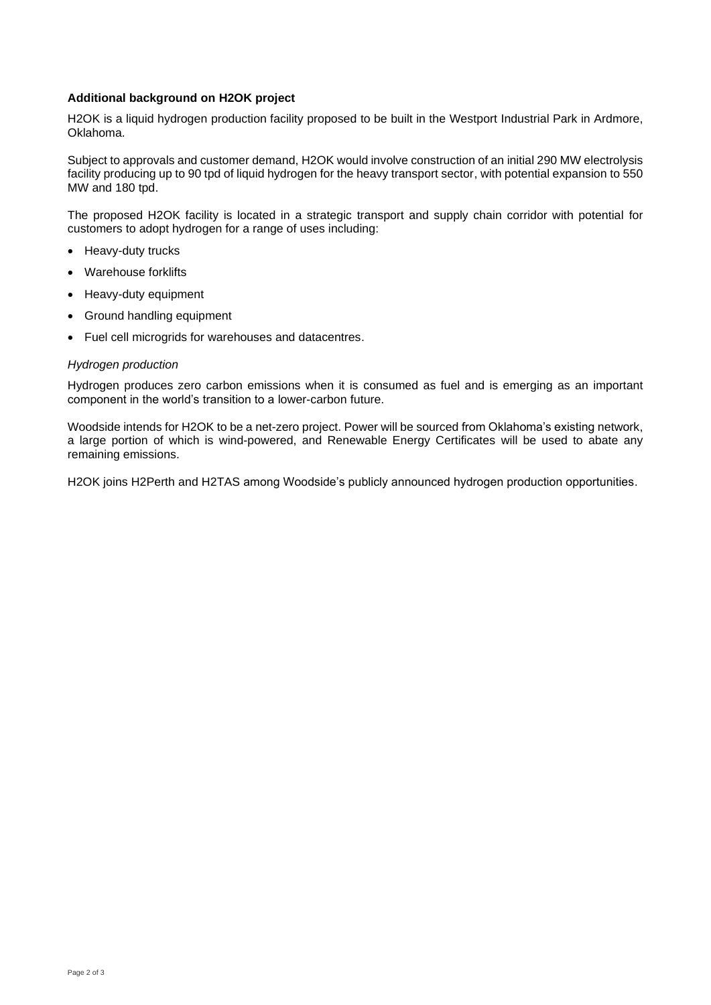### **Additional background on H2OK project**

H2OK is a liquid hydrogen production facility proposed to be built in the Westport Industrial Park in Ardmore, Oklahoma.

Subject to approvals and customer demand, H2OK would involve construction of an initial 290 MW electrolysis facility producing up to 90 tpd of liquid hydrogen for the heavy transport sector, with potential expansion to 550 MW and 180 tpd.

The proposed H2OK facility is located in a strategic transport and supply chain corridor with potential for customers to adopt hydrogen for a range of uses including:

- Heavy-duty trucks
- Warehouse forklifts
- Heavy-duty equipment
- Ground handling equipment
- Fuel cell microgrids for warehouses and datacentres.

#### *Hydrogen production*

Hydrogen produces zero carbon emissions when it is consumed as fuel and is emerging as an important component in the world's transition to a lower-carbon future.

Woodside intends for H2OK to be a net-zero project. Power will be sourced from Oklahoma's existing network, a large portion of which is wind-powered, and Renewable Energy Certificates will be used to abate any remaining emissions.

H2OK joins H2Perth and H2TAS among Woodside's publicly announced hydrogen production opportunities.